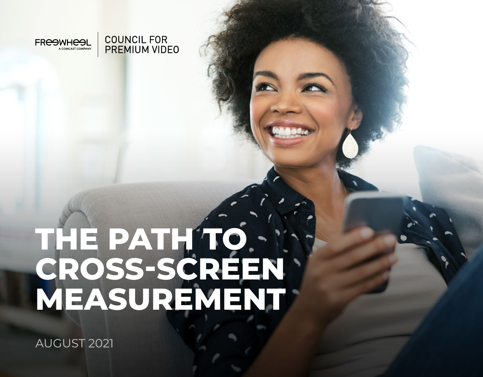

**COUNCIL FOR PREMIUM VIDEO** 

# **THE PATH TO CROSS-SCREEN MEASUREMENT**

AUGUST 2021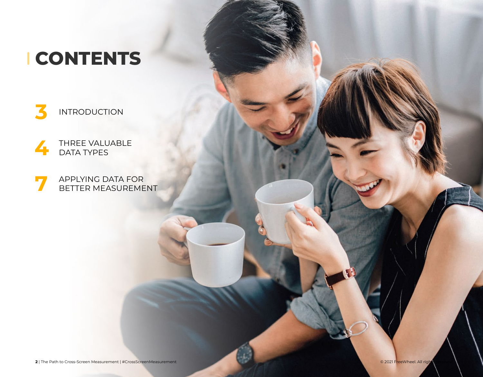### **CONTENTS**



[THREE VALUABLE](#page-3-0) [DATA TYPES](#page-3-0)

[APPLYING DATA FOR](#page-6-0) [BETTER MEASUREMENT](#page-6-0)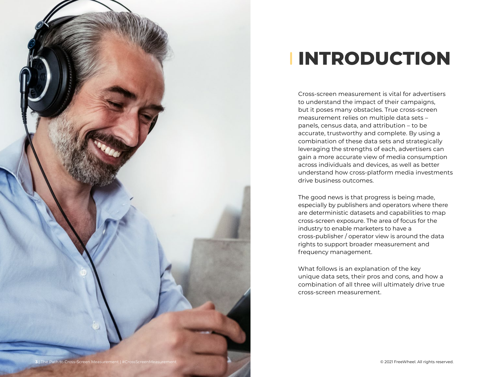<span id="page-2-0"></span>

## **INTRODUCTION**

Cross-screen measurement is vital for advertisers to understand the impact of their campaigns, but it poses many obstacles. True cross-screen measurement relies on multiple data sets – panels, census data, and attribution – to be accurate, trustworthy and complete. By using a combination of these data sets and strategically leveraging the strengths of each, advertisers can gain a more accurate view of media consumption across individuals and devices, as well as better understand how cross-platform media investments drive business outcomes.

The good news is that progress is being made, especially by publishers and operators where there are deterministic datasets and capabilities to map cross-screen exposure. The area of focus for the industry to enable marketers to have a cross-publisher / operator view is around the data rights to support broader measurement and frequency management.

What follows is an explanation of the key unique data sets, their pros and cons, and how a combination of all three will ultimately drive true cross-screen measurement.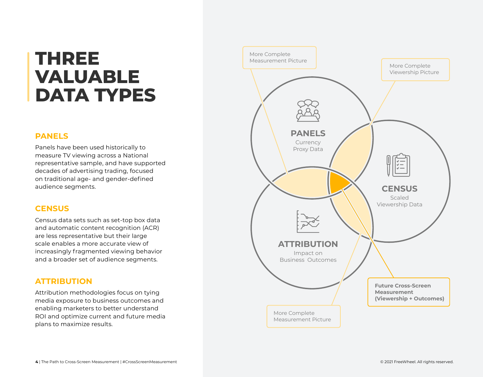### <span id="page-3-0"></span>**THREE VALUABLE DATA TYPES**

#### **PANELS**

Panels have been used historically to measure TV viewing across a National representative sample, and have supported decades of advertising trading, focused on traditional age- and gender-defined audience segments.

#### **CENSUS**

Census data sets such as set-top box data and automatic content recognition (ACR) are less representative but their large scale enables a more accurate view of increasingly fragmented viewing behavior and a broader set of audience segments.

#### **ATTRIBUTION**

Attribution methodologies focus on tying media exposure to business outcomes and enabling marketers to better understand ROI and optimize current and future media plans to maximize results.

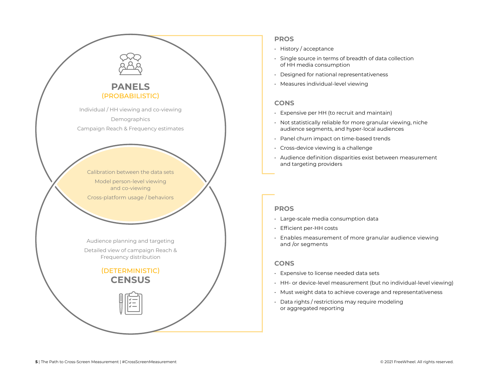

#### **PROS**

- History / acceptance
- Single source in terms of breadth of data collection of HH media consumption
- Designed for national representativeness
- Measures individual-level viewing

#### **CONS**

- Expensive per HH (to recruit and maintain)
- Not statistically reliable for more granular viewing, niche audience segments, and hyper-local audiences
- Panel churn impact on time-based trends
- Cross-device viewing is a challenge
- Audience definition disparities exist between measurement and targeting providers

#### **PROS**

- Large-scale media consumption data
- Efficient per-HH costs
- Enables measurement of more granular audience viewing and /or segments

#### **CONS**

- Expensive to license needed data sets
- HH- or device-level measurement (but no individual-level viewing)
- Must weight data to achieve coverage and representativeness
- Data rights / restrictions may require modeling or aggregated reporting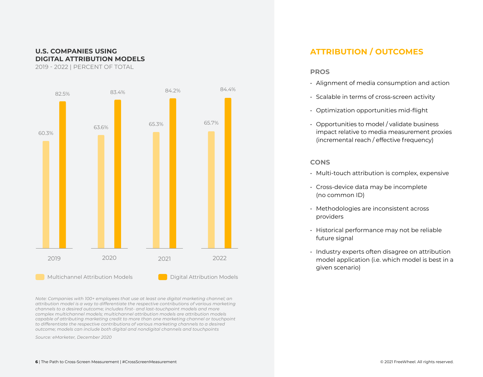#### **U.S. COMPANIES USING DIGITAL ATTRIBUTION MODELS**

2019 - 2022 | PERCENT OF TOTAL



*Note: Companies with 100+ employees that use at least one digital marketing channel; an attribution model is a way to differentiate the respective contributions of various marketing channels to a desired outcome; includes first- and last-touchpoint models and more complex multichannel models; multichannel attribution models are attribution models capable of attributing marketing credit to more than one marketing channel or touchpoint to differentiate the respective contributions of various marketing channels to a desired outcome; models can include both digital and nondigital channels and touchpoints*

*Source: eMarketer, December 2020*

#### **ATTRIBUTION / OUTCOMES**

#### **PROS**

- Alignment of media consumption and action
- Scalable in terms of cross-screen activity
- Optimization opportunities mid-flight
- Opportunities to model / validate business impact relative to media measurement proxies (incremental reach / effective frequency)

#### **CONS**

- Multi-touch attribution is complex, expensive
- Cross-device data may be incomplete (no common ID)
- Methodologies are inconsistent across providers
- Historical performance may not be reliable future signal
- Industry experts often disagree on attribution model application (i.e. which model is best in a given scenario)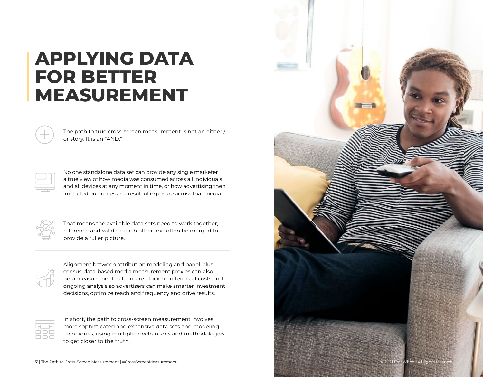### **APPLYING DATA FOR BETTER MEASUREMENT**

The path to true cross-screen measurement is not an either / or story. It is an "AND."

No one standalone data set can provide any single marketer a true view of how media was consumed across all individuals and all devices at any moment in time, or how advertising then impacted outcomes as a result of exposure across that media.

That means the available data sets need to work together, reference and validate each other and often be merged to provide a fuller picture.



Alignment between attribution modeling and panel-pluscensus-data-based media measurement proxies can also help measurement to be more efficient in terms of costs and ongoing analysis so advertisers can make smarter investment decisions, optimize reach and frequency and drive results.



In short, the path to cross-screen measurement involves more sophisticated and expansive data sets and modeling techniques, using multiple mechanisms and methodologies to get closer to the truth.

<span id="page-6-0"></span>